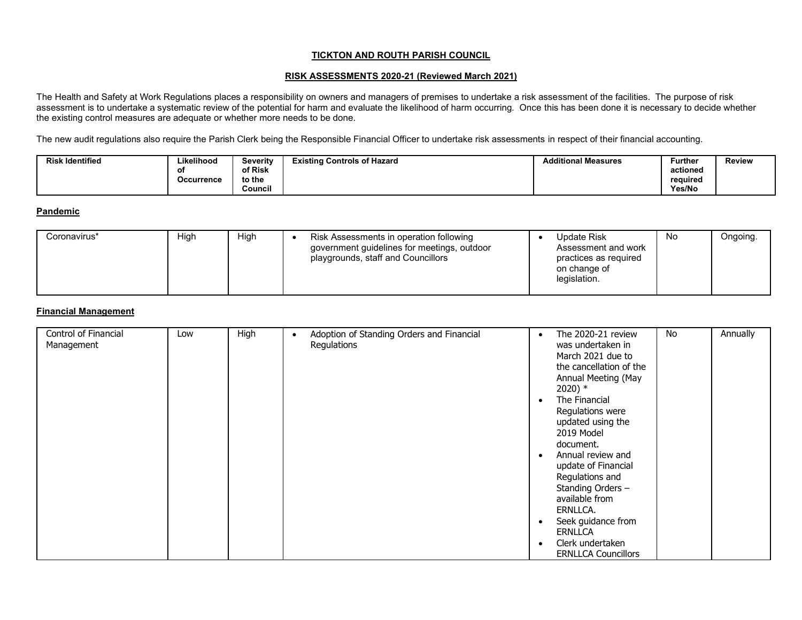### **TICKTON AND ROUTH PARISH COUNCIL**

#### **RISK ASSESSMENTS 2020-21 (Reviewed March 2021)**

The Health and Safety at Work Regulations places a responsibility on owners and managers of premises to undertake a risk assessment of the facilities. The purpose of risk assessment is to undertake a systematic review of the potential for harm and evaluate the likelihood of harm occurring. Once this has been done it is necessary to decide whether assessment is to undertake a systematic revi the existing control measures are adequate or whether more needs to be done.

The new audit regulations also require the Parish Clerk being the Responsible Financial Officer to undertake risk assessments in respect of their financial accounting.

| <b>Risk Identified</b> | Likelihood | Severity | <b>Existing Controls of Hazard</b> | <b>Additional Measures</b> | <b>Further</b> | <b>Review</b> |
|------------------------|------------|----------|------------------------------------|----------------------------|----------------|---------------|
|                        |            | of Risk  |                                    |                            | actioned       |               |
|                        | Occurrence | to the   |                                    |                            | reauired       |               |
|                        |            | Council  |                                    |                            | Yes/No         |               |

#### **Pandemic**

| High<br>High<br>Coronavirus* | Risk Assessments in operation following<br>government guidelines for meetings, outdoor<br>playgrounds, staff and Councillors | <b>Update Risk</b><br>Assessment and work<br>practices as required<br>on change of<br>legislation. | No | Ongoing. |
|------------------------------|------------------------------------------------------------------------------------------------------------------------------|----------------------------------------------------------------------------------------------------|----|----------|
|------------------------------|------------------------------------------------------------------------------------------------------------------------------|----------------------------------------------------------------------------------------------------|----|----------|

### **Financial Management**

| Control of Financial<br>Management | Low | High | Adoption of Standing Orders and Financial<br>$\bullet$<br>Regulations | $\bullet$ | The 2020-21 review<br>was undertaken in<br>March 2021 due to<br>the cancellation of the<br>Annual Meeting (May<br>$2020)*$                                                                                                | No | Annually |
|------------------------------------|-----|------|-----------------------------------------------------------------------|-----------|---------------------------------------------------------------------------------------------------------------------------------------------------------------------------------------------------------------------------|----|----------|
|                                    |     |      |                                                                       |           | The Financial<br>Regulations were<br>updated using the<br>2019 Model<br>document.<br>Annual review and<br>update of Financial<br>Regulations and<br>Standing Orders -<br>available from<br>ERNLLCA.<br>Seek guidance from |    |          |
|                                    |     |      |                                                                       |           | <b>ERNLLCA</b><br>Clerk undertaken<br><b>ERNLLCA Councillors</b>                                                                                                                                                          |    |          |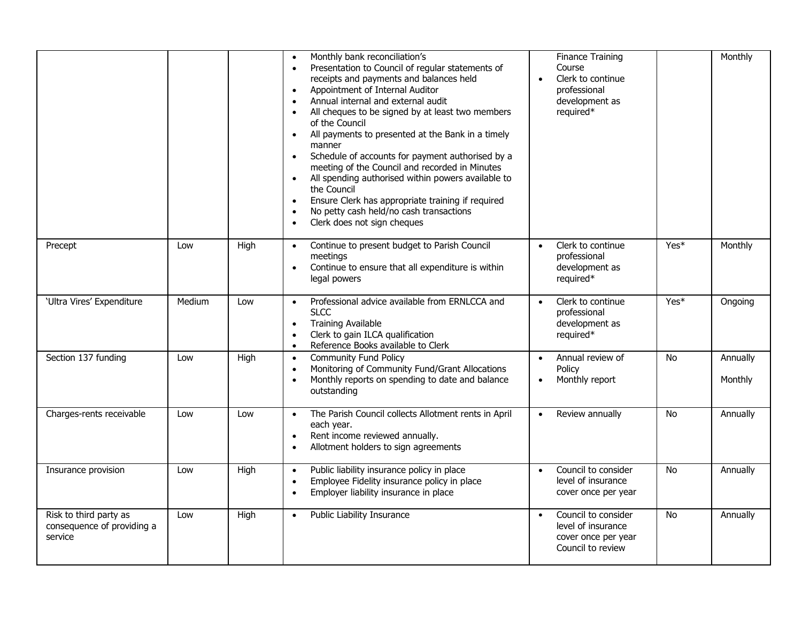|                                                                 |        |      | Monthly bank reconciliation's<br>$\bullet$<br>Presentation to Council of regular statements of<br>$\bullet$<br>receipts and payments and balances held<br>Appointment of Internal Auditor<br>$\bullet$<br>Annual internal and external audit<br>All cheques to be signed by at least two members<br>$\bullet$<br>of the Council<br>All payments to presented at the Bank in a timely<br>$\bullet$<br>manner<br>Schedule of accounts for payment authorised by a<br>$\bullet$<br>meeting of the Council and recorded in Minutes<br>All spending authorised within powers available to<br>the Council<br>Ensure Clerk has appropriate training if required<br>$\bullet$<br>No petty cash held/no cash transactions<br>Clerk does not sign cheques<br>$\bullet$ | <b>Finance Training</b><br>Course<br>Clerk to continue<br>professional<br>development as<br>required* |           | Monthly             |
|-----------------------------------------------------------------|--------|------|--------------------------------------------------------------------------------------------------------------------------------------------------------------------------------------------------------------------------------------------------------------------------------------------------------------------------------------------------------------------------------------------------------------------------------------------------------------------------------------------------------------------------------------------------------------------------------------------------------------------------------------------------------------------------------------------------------------------------------------------------------------|-------------------------------------------------------------------------------------------------------|-----------|---------------------|
| Precept                                                         | Low    | High | Continue to present budget to Parish Council<br>$\bullet$<br>meetings<br>Continue to ensure that all expenditure is within<br>$\bullet$<br>legal powers                                                                                                                                                                                                                                                                                                                                                                                                                                                                                                                                                                                                      | Clerk to continue<br>$\bullet$<br>professional<br>development as<br>required*                         | Yes*      | Monthly             |
| 'Ultra Vires' Expenditure                                       | Medium | Low  | Professional advice available from ERNLCCA and<br>$\bullet$<br><b>SLCC</b><br><b>Training Available</b><br>$\bullet$<br>Clerk to gain ILCA qualification<br>$\bullet$<br>Reference Books available to Clerk<br>$\bullet$                                                                                                                                                                                                                                                                                                                                                                                                                                                                                                                                     | Clerk to continue<br>$\bullet$<br>professional<br>development as<br>required*                         | Yes*      | Ongoing             |
| Section 137 funding                                             | Low    | High | <b>Community Fund Policy</b><br>$\bullet$<br>Monitoring of Community Fund/Grant Allocations<br>$\bullet$<br>Monthly reports on spending to date and balance<br>$\bullet$<br>outstanding                                                                                                                                                                                                                                                                                                                                                                                                                                                                                                                                                                      | Annual review of<br>$\bullet$<br>Policy<br>Monthly report                                             | No        | Annually<br>Monthly |
| Charges-rents receivable                                        | Low    | Low  | The Parish Council collects Allotment rents in April<br>$\bullet$<br>each year.<br>Rent income reviewed annually.<br>$\bullet$<br>Allotment holders to sign agreements                                                                                                                                                                                                                                                                                                                                                                                                                                                                                                                                                                                       | Review annually                                                                                       | <b>No</b> | Annually            |
| Insurance provision                                             | Low    | High | Public liability insurance policy in place<br>$\bullet$<br>Employee Fidelity insurance policy in place<br>$\bullet$<br>Employer liability insurance in place<br>$\bullet$                                                                                                                                                                                                                                                                                                                                                                                                                                                                                                                                                                                    | Council to consider<br>$\bullet$<br>level of insurance<br>cover once per year                         | No        | Annually            |
| Risk to third party as<br>consequence of providing a<br>service | Low    | High | Public Liability Insurance<br>$\bullet$                                                                                                                                                                                                                                                                                                                                                                                                                                                                                                                                                                                                                                                                                                                      | Council to consider<br>$\bullet$<br>level of insurance<br>cover once per year<br>Council to review    | <b>No</b> | Annually            |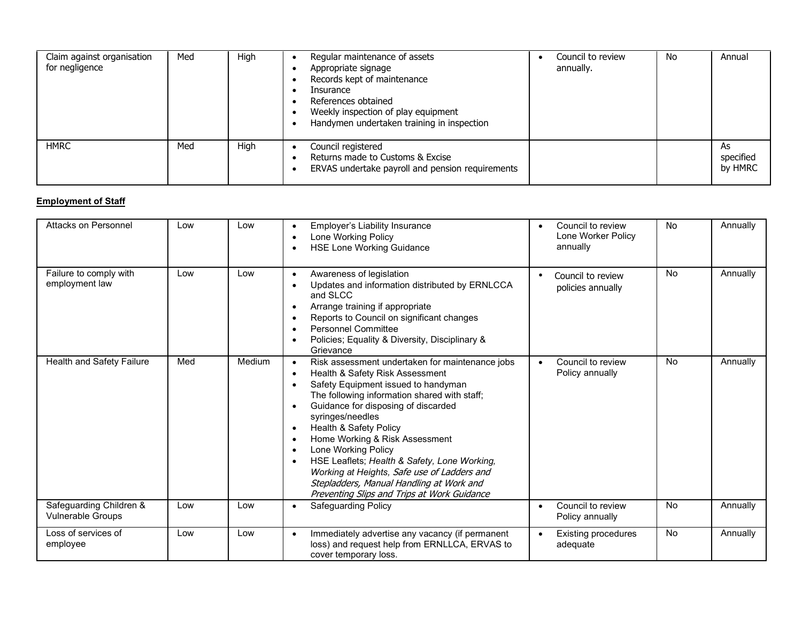| Claim against organisation<br>for negligence | Med | High | Regular maintenance of assets<br>Appropriate signage<br>Records kept of maintenance<br>Insurance<br>References obtained<br>Weekly inspection of play equipment<br>Handymen undertaken training in inspection | Council to review<br>annually. | No | Annual                     |
|----------------------------------------------|-----|------|--------------------------------------------------------------------------------------------------------------------------------------------------------------------------------------------------------------|--------------------------------|----|----------------------------|
| <b>HMRC</b>                                  | Med | High | Council registered<br>Returns made to Customs & Excise<br>ERVAS undertake payroll and pension requirements                                                                                                   |                                |    | As<br>specified<br>by HMRC |

# **Employment of Staff**

| Attacks on Personnel                                | Low | Low    | Employer's Liability Insurance<br>$\bullet$<br>Lone Working Policy<br>$\bullet$<br><b>HSE Lone Working Guidance</b><br>$\bullet$                                                                                                                                                                                                                                                                                                                                                                                                                                                                                          | Council to review<br>$\bullet$<br>Lone Worker Policy<br>annually | <b>No</b> | Annually |
|-----------------------------------------------------|-----|--------|---------------------------------------------------------------------------------------------------------------------------------------------------------------------------------------------------------------------------------------------------------------------------------------------------------------------------------------------------------------------------------------------------------------------------------------------------------------------------------------------------------------------------------------------------------------------------------------------------------------------------|------------------------------------------------------------------|-----------|----------|
| Failure to comply with<br>employment law            | Low | Low    | Awareness of legislation<br>$\bullet$<br>Updates and information distributed by ERNLCCA<br>$\bullet$<br>and SLCC<br>Arrange training if appropriate<br>$\bullet$<br>Reports to Council on significant changes<br>$\bullet$<br>Personnel Committee<br>$\bullet$<br>Policies; Equality & Diversity, Disciplinary &<br>Grievance                                                                                                                                                                                                                                                                                             | Council to review<br>٠<br>policies annually                      | <b>No</b> | Annually |
| Health and Safety Failure                           | Med | Medium | Risk assessment undertaken for maintenance jobs<br>$\bullet$<br>Health & Safety Risk Assessment<br>$\bullet$<br>Safety Equipment issued to handyman<br>$\bullet$<br>The following information shared with staff;<br>Guidance for disposing of discarded<br>$\bullet$<br>syringes/needles<br>Health & Safety Policy<br>$\bullet$<br>Home Working & Risk Assessment<br>$\bullet$<br>Lone Working Policy<br>$\bullet$<br>HSE Leaflets; Health & Safety, Lone Working,<br>$\bullet$<br>Working at Heights, Safe use of Ladders and<br>Stepladders, Manual Handling at Work and<br>Preventing Slips and Trips at Work Guidance | Council to review<br>$\bullet$<br>Policy annually                | <b>No</b> | Annually |
| Safeguarding Children &<br><b>Vulnerable Groups</b> | Low | Low    | <b>Safeguarding Policy</b><br>$\bullet$                                                                                                                                                                                                                                                                                                                                                                                                                                                                                                                                                                                   | Council to review<br>$\bullet$<br>Policy annually                | <b>No</b> | Annually |
| Loss of services of<br>employee                     | Low | Low    | Immediately advertise any vacancy (if permanent<br>$\bullet$<br>loss) and request help from ERNLLCA, ERVAS to<br>cover temporary loss.                                                                                                                                                                                                                                                                                                                                                                                                                                                                                    | <b>Existing procedures</b><br>$\bullet$<br>adequate              | <b>No</b> | Annually |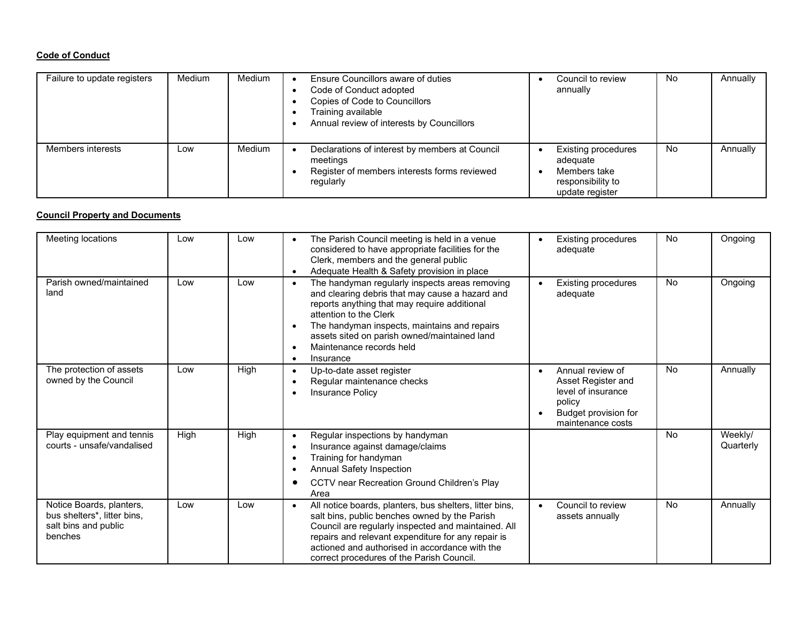# **Code of Conduct**

| Failure to update registers | <b>Medium</b> | Medium | Ensure Councillors aware of duties<br>Code of Conduct adopted<br>Copies of Code to Councillors<br>Training available<br>Annual review of interests by Councillors | Council to review<br>annually                                                                  | No        | Annually |
|-----------------------------|---------------|--------|-------------------------------------------------------------------------------------------------------------------------------------------------------------------|------------------------------------------------------------------------------------------------|-----------|----------|
| Members interests           | Low           | Medium | Declarations of interest by members at Council<br>meetings<br>Register of members interests forms reviewed<br>regularly                                           | <b>Existing procedures</b><br>adequate<br>Members take<br>responsibility to<br>update register | <b>No</b> | Annually |

## **Council Property and Documents**

| Meeting locations                                                                                       | Low  | Low  | The Parish Council meeting is held in a venue<br>$\bullet$<br>considered to have appropriate facilities for the                                                                                                                                                                                                                                                          |           | <b>Existing procedures</b><br>adequate                                                                              | No        | Ongoing              |
|---------------------------------------------------------------------------------------------------------|------|------|--------------------------------------------------------------------------------------------------------------------------------------------------------------------------------------------------------------------------------------------------------------------------------------------------------------------------------------------------------------------------|-----------|---------------------------------------------------------------------------------------------------------------------|-----------|----------------------|
|                                                                                                         |      |      | Clerk, members and the general public<br>Adequate Health & Safety provision in place<br>$\bullet$                                                                                                                                                                                                                                                                        |           |                                                                                                                     |           |                      |
| Parish owned/maintained<br>land                                                                         | Low  | Low  | The handyman regularly inspects areas removing<br>$\bullet$<br>and clearing debris that may cause a hazard and<br>reports anything that may require additional<br>attention to the Clerk<br>The handyman inspects, maintains and repairs<br>$\bullet$<br>assets sited on parish owned/maintained land<br>Maintenance records held<br>$\bullet$<br>Insurance<br>$\bullet$ |           | <b>Existing procedures</b><br>adequate                                                                              | No        | Ongoing              |
| The protection of assets<br>owned by the Council                                                        | Low  | High | Up-to-date asset register<br>$\bullet$<br>Regular maintenance checks<br><b>Insurance Policy</b>                                                                                                                                                                                                                                                                          | $\bullet$ | Annual review of<br>Asset Register and<br>level of insurance<br>policy<br>Budget provision for<br>maintenance costs | No.       | Annually             |
| Play equipment and tennis<br>courts - unsafe/vandalised                                                 | High | High | Regular inspections by handyman<br>$\bullet$<br>Insurance against damage/claims<br>Training for handyman<br>Annual Safety Inspection<br>CCTV near Recreation Ground Children's Play<br>Area                                                                                                                                                                              |           |                                                                                                                     | <b>No</b> | Weekly/<br>Quarterly |
| Notice Boards, planters,<br>bus shelters <sup>*</sup> , litter bins,<br>salt bins and public<br>benches | Low  | Low  | All notice boards, planters, bus shelters, litter bins,<br>$\bullet$<br>salt bins, public benches owned by the Parish<br>Council are regularly inspected and maintained. All<br>repairs and relevant expenditure for any repair is<br>actioned and authorised in accordance with the<br>correct procedures of the Parish Council.                                        | $\bullet$ | Council to review<br>assets annually                                                                                | No        | Annually             |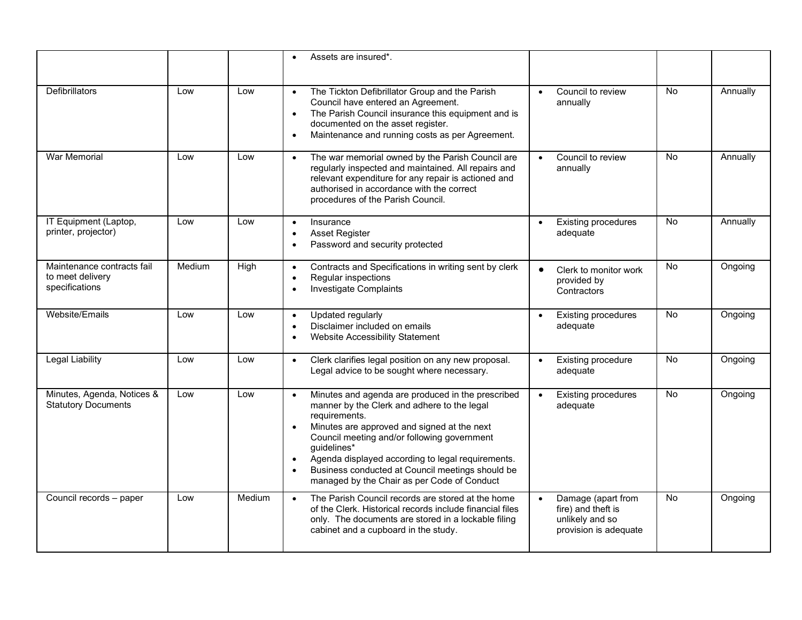|                                                                  |        |        | Assets are insured*.                                                                                                                                                                                                                                                                                                                                                                                                          |                                                                                      |           |          |
|------------------------------------------------------------------|--------|--------|-------------------------------------------------------------------------------------------------------------------------------------------------------------------------------------------------------------------------------------------------------------------------------------------------------------------------------------------------------------------------------------------------------------------------------|--------------------------------------------------------------------------------------|-----------|----------|
| <b>Defibrillators</b>                                            | Low    | Low    | The Tickton Defibrillator Group and the Parish<br>$\bullet$<br>Council have entered an Agreement.<br>The Parish Council insurance this equipment and is<br>$\bullet$<br>documented on the asset register.<br>Maintenance and running costs as per Agreement.                                                                                                                                                                  | Council to review<br>$\bullet$<br>annually                                           | <b>No</b> | Annually |
| <b>War Memorial</b>                                              | Low    | Low    | The war memorial owned by the Parish Council are<br>$\bullet$<br>regularly inspected and maintained. All repairs and<br>relevant expenditure for any repair is actioned and<br>authorised in accordance with the correct<br>procedures of the Parish Council.                                                                                                                                                                 | Council to review<br>annually                                                        | <b>No</b> | Annually |
| IT Equipment (Laptop,<br>printer, projector)                     | Low    | Low    | Insurance<br>$\bullet$<br><b>Asset Register</b><br>Password and security protected                                                                                                                                                                                                                                                                                                                                            | <b>Existing procedures</b><br>$\bullet$<br>adequate                                  | <b>No</b> | Annually |
| Maintenance contracts fail<br>to meet delivery<br>specifications | Medium | High   | Contracts and Specifications in writing sent by clerk<br>$\bullet$<br>Regular inspections<br>Investigate Complaints                                                                                                                                                                                                                                                                                                           | Clerk to monitor work<br>$\bullet$<br>provided by<br>Contractors                     | <b>No</b> | Ongoing  |
| Website/Emails                                                   | Low    | Low    | Updated regularly<br>$\bullet$<br>Disclaimer included on emails<br>Website Accessibility Statement                                                                                                                                                                                                                                                                                                                            | <b>Existing procedures</b><br>$\bullet$<br>adequate                                  | <b>No</b> | Ongoing  |
| <b>Legal Liability</b>                                           | Low    | Low    | Clerk clarifies legal position on any new proposal.<br>$\bullet$<br>Legal advice to be sought where necessary.                                                                                                                                                                                                                                                                                                                | Existing procedure<br>$\bullet$<br>adequate                                          | <b>No</b> | Ongoing  |
| Minutes, Agenda, Notices &<br><b>Statutory Documents</b>         | Low    | Low    | Minutes and agenda are produced in the prescribed<br>$\bullet$<br>manner by the Clerk and adhere to the legal<br>requirements.<br>Minutes are approved and signed at the next<br>$\bullet$<br>Council meeting and/or following government<br>guidelines*<br>Agenda displayed according to legal requirements.<br>$\bullet$<br>Business conducted at Council meetings should be<br>managed by the Chair as per Code of Conduct | <b>Existing procedures</b><br>adequate                                               | <b>No</b> | Ongoing  |
| Council records - paper                                          | Low    | Medium | The Parish Council records are stored at the home<br>$\bullet$<br>of the Clerk. Historical records include financial files<br>only. The documents are stored in a lockable filing<br>cabinet and a cupboard in the study.                                                                                                                                                                                                     | Damage (apart from<br>fire) and theft is<br>unlikely and so<br>provision is adequate | <b>No</b> | Ongoing  |